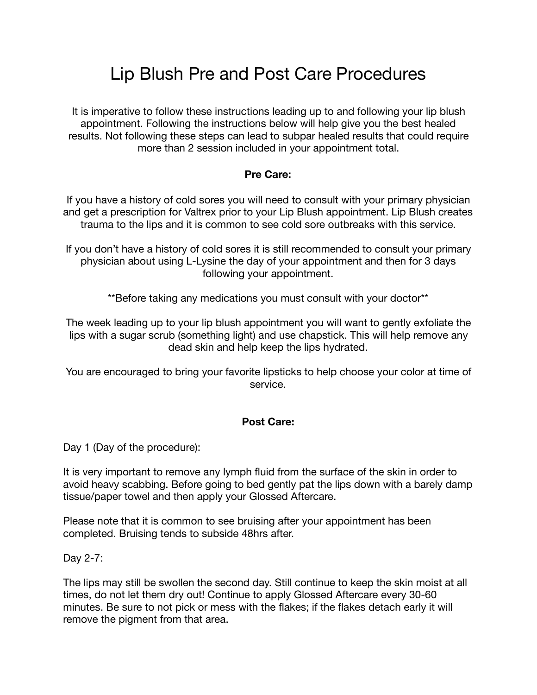## Lip Blush Pre and Post Care Procedures

It is imperative to follow these instructions leading up to and following your lip blush appointment. Following the instructions below will help give you the best healed results. Not following these steps can lead to subpar healed results that could require more than 2 session included in your appointment total.

## **Pre Care:**

If you have a history of cold sores you will need to consult with your primary physician and get a prescription for Valtrex prior to your Lip Blush appointment. Lip Blush creates trauma to the lips and it is common to see cold sore outbreaks with this service.

If you don't have a history of cold sores it is still recommended to consult your primary physician about using L-Lysine the day of your appointment and then for 3 days following your appointment.

\*\*Before taking any medications you must consult with your doctor\*\*

The week leading up to your lip blush appointment you will want to gently exfoliate the lips with a sugar scrub (something light) and use chapstick. This will help remove any dead skin and help keep the lips hydrated.

You are encouraged to bring your favorite lipsticks to help choose your color at time of service.

## **Post Care:**

Day 1 (Day of the procedure):

It is very important to remove any lymph fluid from the surface of the skin in order to avoid heavy scabbing. Before going to bed gently pat the lips down with a barely damp tissue/paper towel and then apply your Glossed Aftercare.

Please note that it is common to see bruising after your appointment has been completed. Bruising tends to subside 48hrs after.

Day 2-7:

The lips may still be swollen the second day. Still continue to keep the skin moist at all times, do not let them dry out! Continue to apply Glossed Aftercare every 30-60 minutes. Be sure to not pick or mess with the flakes; if the flakes detach early it will remove the pigment from that area.